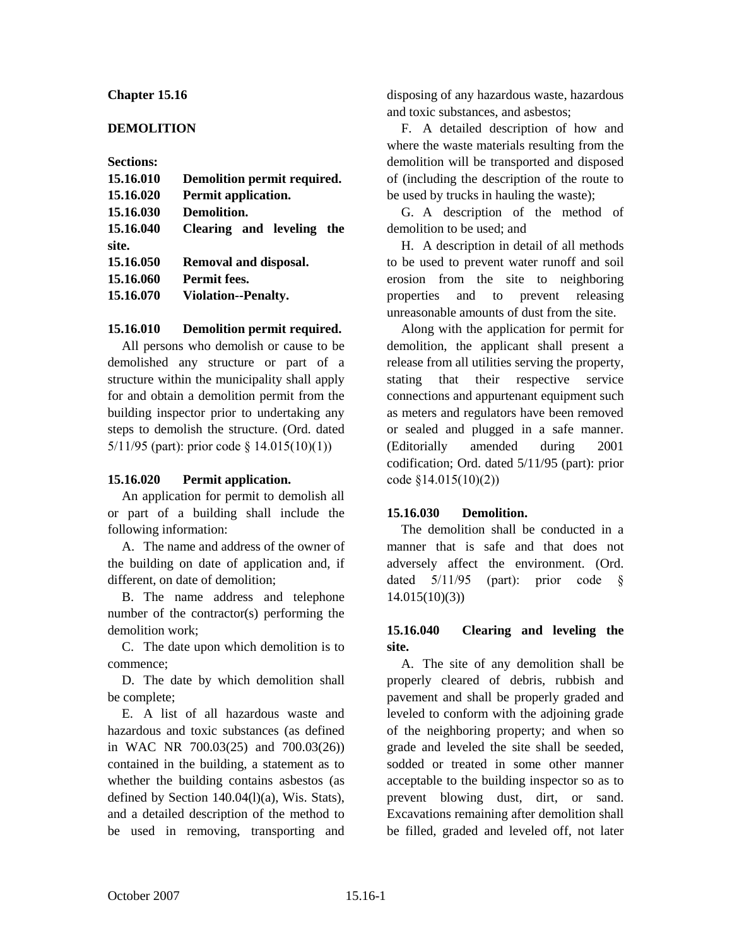## **Chapter 15.16**

## **DEMOLITION**

**Sections:**

| 15.16.010 | Demolition permit required. |
|-----------|-----------------------------|
| 15.16.020 | Permit application.         |
| 15.16.030 | Demolition.                 |
| 15.16.040 | Clearing and leveling the   |
| site.     |                             |
| 15.16.050 | Removal and disposal.       |
| 15.16.060 | <b>Permit fees.</b>         |
| 15.16.070 | <b>Violation--Penalty.</b>  |

### **15.16.010 Demolition permit required.**

All persons who demolish or cause to be demolished any structure or part of a structure within the municipality shall apply for and obtain a demolition permit from the building inspector prior to undertaking any steps to demolish the structure. (Ord. dated 5/11/95 (part): prior code § 14.015(10)(1))

## **15.16.020 Permit application.**

An application for permit to demolish all or part of a building shall include the following information:

A. The name and address of the owner of the building on date of application and, if different, on date of demolition;

B. The name address and telephone number of the contractor(s) performing the demolition work;

C. The date upon which demolition is to commence;

D. The date by which demolition shall be complete;

E. A list of all hazardous waste and hazardous and toxic substances (as defined in WAC NR 700.03(25) and 700.03(26)) contained in the building, a statement as to whether the building contains asbestos (as defined by Section 140.04(l)(a), Wis. Stats), and a detailed description of the method to be used in removing, transporting and

disposing of any hazardous waste, hazardous and toxic substances, and asbestos;

F. A detailed description of how and where the waste materials resulting from the demolition will be transported and disposed of (including the description of the route to be used by trucks in hauling the waste);

G. A description of the method of demolition to be used; and

H. A description in detail of all methods to be used to prevent water runoff and soil erosion from the site to neighboring properties and to prevent releasing unreasonable amounts of dust from the site.

Along with the application for permit for demolition, the applicant shall present a release from all utilities serving the property, stating that their respective service connections and appurtenant equipment such as meters and regulators have been removed or sealed and plugged in a safe manner. (Editorially amended during 2001 codification; Ord. dated 5/11/95 (part): prior code §14.015(10)(2))

# **15.16.030 Demolition.**

The demolition shall be conducted in a manner that is safe and that does not adversely affect the environment. (Ord. dated  $5/11/95$  (part): prior code  $\delta$ 14.015(10)(3))

# **15.16.040 Clearing and leveling the site.**

A. The site of any demolition shall be properly cleared of debris, rubbish and pavement and shall be properly graded and leveled to conform with the adjoining grade of the neighboring property; and when so grade and leveled the site shall be seeded, sodded or treated in some other manner acceptable to the building inspector so as to prevent blowing dust, dirt, or sand. Excavations remaining after demolition shall be filled, graded and leveled off, not later